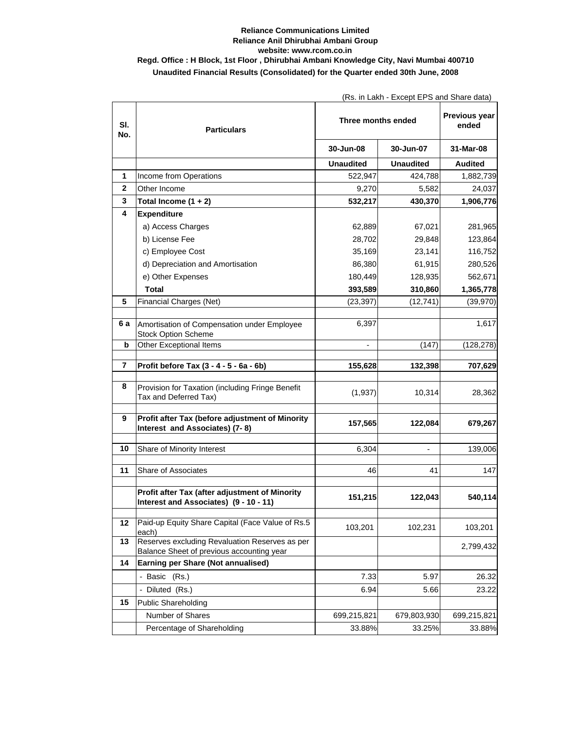## **Reliance Communications Limited Reliance Anil Dhirubhai Ambani Group website: www.rcom.co.in Regd. Office : H Block, 1st Floor , Dhirubhai Ambani Knowledge City, Navi Mumbai 400710 Unaudited Financial Results (Consolidated) for the Quarter ended 30th June, 2008**

(Rs. in Lakh - Except EPS and Share data)

| SI.<br>No.   | <b>Particulars</b>                                                                          | Three months ended       |                  | Previous year<br>ended |
|--------------|---------------------------------------------------------------------------------------------|--------------------------|------------------|------------------------|
|              |                                                                                             | 30-Jun-08                | 30-Jun-07        | 31-Mar-08              |
|              |                                                                                             | <b>Unaudited</b>         | <b>Unaudited</b> | <b>Audited</b>         |
| 1            | Income from Operations                                                                      | 522,947                  | 424,788          | 1,882,739              |
| $\mathbf{2}$ | Other Income                                                                                | 9,270                    | 5,582            | 24,037                 |
| 3            | Total Income $(1 + 2)$                                                                      | 532,217                  | 430,370          | 1,906,776              |
| 4            | <b>Expenditure</b>                                                                          |                          |                  |                        |
|              | a) Access Charges                                                                           | 62,889                   | 67,021           | 281,965                |
|              | b) License Fee                                                                              | 28,702                   | 29,848           | 123,864                |
|              | c) Employee Cost                                                                            | 35,169                   | 23,141           | 116,752                |
|              | d) Depreciation and Amortisation                                                            | 86,380                   | 61,915           | 280,526                |
|              | e) Other Expenses                                                                           | 180,449                  | 128,935          | 562,671                |
|              | Total                                                                                       | 393,589                  | 310,860          | 1,365,778              |
| 5            | Financial Charges (Net)                                                                     | (23, 397)                | (12, 741)        | (39, 970)              |
|              |                                                                                             |                          |                  |                        |
| 6а           | Amortisation of Compensation under Employee<br><b>Stock Option Scheme</b>                   | 6,397                    |                  | 1,617                  |
| b            | Other Exceptional Items                                                                     | $\overline{\phantom{a}}$ | (147)            | (128, 278)             |
| 7            | Profit before Tax (3 - 4 - 5 - 6a - 6b)                                                     |                          |                  | 707,629                |
|              |                                                                                             | 155,628                  | 132,398          |                        |
| 8            | Provision for Taxation (including Fringe Benefit<br>Tax and Deferred Tax)                   | (1,937)                  | 10,314           | 28,362                 |
| 9            | Profit after Tax (before adjustment of Minority<br>Interest and Associates) (7-8)           | 157,565                  | 122,084          | 679,267                |
| 10           | Share of Minority Interest                                                                  | 6,304                    |                  | 139,006                |
| 11           | Share of Associates                                                                         | 46                       | 41               | 147                    |
|              | Profit after Tax (after adjustment of Minority<br>Interest and Associates) (9 - 10 - 11)    | 151,215                  | 122,043          | 540,114                |
| 12           | Paid-up Equity Share Capital (Face Value of Rs.5<br>each)                                   | 103,201                  | 102,231          | 103,201                |
| 13           | Reserves excluding Revaluation Reserves as per<br>Balance Sheet of previous accounting year |                          |                  | 2,799,432              |
| 14           | Earning per Share (Not annualised)                                                          |                          |                  |                        |
|              | - Basic (Rs.)                                                                               | 7.33                     | 5.97             | 26.32                  |
|              | - Diluted (Rs.)                                                                             | 6.94                     | 5.66             | 23.22                  |
| 15           | <b>Public Shareholding</b>                                                                  |                          |                  |                        |
|              | Number of Shares                                                                            | 699,215,821              | 679,803,930      | 699,215,821            |
|              | Percentage of Shareholding                                                                  | 33.88%                   | 33.25%           | 33.88%                 |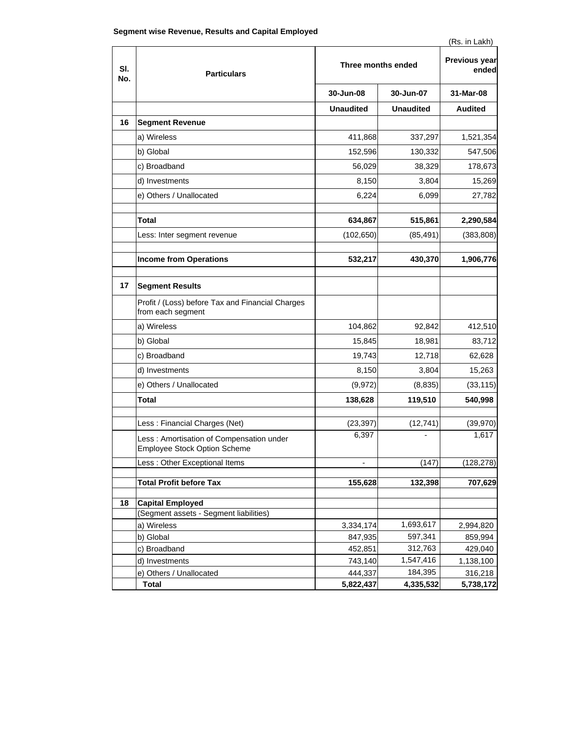| SI.<br>No. | <b>Particulars</b>                                                       | Three months ended |                  | Previous year<br>ended |
|------------|--------------------------------------------------------------------------|--------------------|------------------|------------------------|
|            |                                                                          | 30-Jun-08          | 30-Jun-07        | 31-Mar-08              |
|            |                                                                          | <b>Unaudited</b>   | <b>Unaudited</b> | <b>Audited</b>         |
| 16         | <b>Segment Revenue</b>                                                   |                    |                  |                        |
|            | a) Wireless                                                              | 411,868            | 337,297          | 1,521,354              |
|            | b) Global                                                                | 152,596            | 130,332          | 547,506                |
|            | c) Broadband                                                             | 56,029             | 38,329           | 178,673                |
|            | d) Investments                                                           | 8,150              | 3,804            | 15,269                 |
|            | e) Others / Unallocated                                                  | 6,224              | 6,099            | 27,782                 |
|            |                                                                          |                    |                  |                        |
|            | Total                                                                    | 634,867            | 515,861          | 2,290,584              |
|            | Less: Inter segment revenue                                              | (102, 650)         | (85, 491)        | (383, 808)             |
|            | <b>Income from Operations</b>                                            | 532,217            | 430,370          | 1,906,776              |
|            |                                                                          |                    |                  |                        |
| 17         | <b>Segment Results</b>                                                   |                    |                  |                        |
|            | Profit / (Loss) before Tax and Financial Charges<br>from each segment    |                    |                  |                        |
|            | a) Wireless                                                              | 104,862            | 92,842           | 412,510                |
|            | b) Global                                                                | 15,845             | 18,981           | 83,712                 |
|            | c) Broadband                                                             | 19,743             | 12,718           | 62,628                 |
|            | d) Investments                                                           | 8,150              | 3,804            | 15,263                 |
|            | e) Others / Unallocated                                                  | (9, 972)           | (8,835)          | (33, 115)              |
|            | Total                                                                    | 138,628            | 119,510          | 540,998                |
|            |                                                                          |                    |                  |                        |
|            | Less: Financial Charges (Net)                                            | (23, 397)          | (12, 741)        | (39, 970)              |
|            | Less: Amortisation of Compensation under<br>Employee Stock Option Scheme | 6,397              |                  | 1,617                  |
|            | Less : Other Exceptional Items                                           |                    | (147)            | (128,278)              |
|            | <b>Total Profit before Tax</b>                                           | 155,628            | 132,398          | 707,629                |
|            |                                                                          |                    |                  |                        |
| 18         | <b>Capital Employed</b>                                                  |                    |                  |                        |
|            | (Segment assets - Segment liabilities)                                   |                    |                  |                        |
|            | a) Wireless                                                              | 3,334,174          | 1,693,617        | 2,994,820              |
|            | b) Global                                                                | 847,935            | 597,341          | 859,994                |
|            | c) Broadband                                                             | 452,851            | 312,763          | 429,040                |
|            | d) Investments                                                           | 743,140            | 1,547,416        | 1,138,100              |
|            | e) Others / Unallocated                                                  | 444,337            | 184,395          | 316,218                |
|            | <b>Total</b>                                                             | 5,822,437          | 4,335,532        | 5,738,172              |